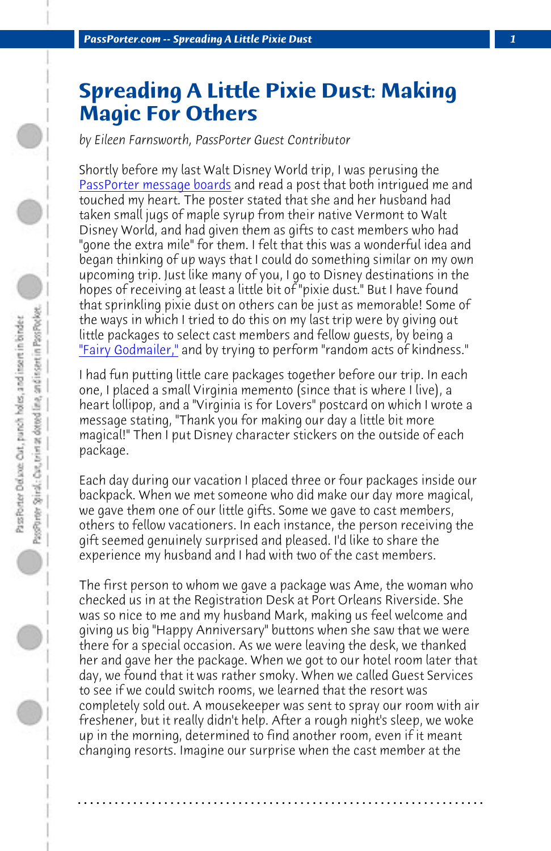*PassPorter.com -- Spreading A Little Pixie Dust 1*

## **[Spreading](http://www.passporterboards.com/forums/making-more-magic-everything-else/131548-fairy-godmailer-question-what-does-fairy-godmailer-do.html) A Little Pixie Dust: Making Magic For Others**

*by Eileen Farnsworth, PassPorter Guest Contributor*

Shortly before my last Walt Disney World trip, I was perusing the PassPorter message boards and read a post that both intrigued me and touched my heart. The poster stated that she and her husband had taken small jugs of maple syrup from their native Vermont to Walt Disney World, and had given them as gifts to cast members who had "gone the extra mile" for them. I felt that this was a wonderful idea and began thinking of up ways that I could do something similar on my own upcoming trip. Just like many of you, I go to Disney destinations in the hopes of receiving at least a little bit of "pixie dust." But I have found that sprinkling pixie dust on others can be just as memorable! Some of the ways in which I tried to do this on my last trip were by giving out little packages to select cast members and fellow guests, by being a "Fairy Godmailer," and by trying to perform "random acts of kindness."

I had fun putting little care packages together before our trip. In each one, I placed a small Virginia memento (since that is where I live), a heart lollipop, and a "Virginia is for Lovers" postcard on which I wrote a message stating, "Thank you for making our day a little bit more magical!" Then I put Disney character stickers on the outside of each package.

Each day during our vacation I placed three or four packages inside our backpack. When we met someone who did make our day more magical, we gave them one of our little gifts. Some we gave to cast members, others to fellow vacationers. In each instance, the person receiving the gift seemed genuinely surprised and pleased. I'd like to share the experience my husband and I had with two of the cast members.

The first person to whom we gave a package was Ame, the woman who checked us in at the Registration Desk at Port Orleans Riverside. She was so nice to me and my husband Mark, making us feel welcome and giving us big "Happy Anniversary" buttons when she saw that we were there for a special occasion. As we were leaving the desk, we thanked her and gave her the package. When we got to our hotel room later that day, we found that it was rather smoky. When we called Guest Services to see if we could switch rooms, we learned that the resort was completely sold out. A mousekeeper was sent to spray our room with air freshener, but it really didn't help. After a rough night's sleep, we woke up in the morning, determined to find another room, even if it meant changing resorts. Imagine our surprise when the cast member at the

**. . . . . . . . . . . . . . . . . . . . . . . . . . . . . . . . . . . . . . . . . . . . . . . . . . . . . . . . . . . . . . . . . .**

PassPorter Spiral,: Car, trim at dotted line, and insert in PassPocket...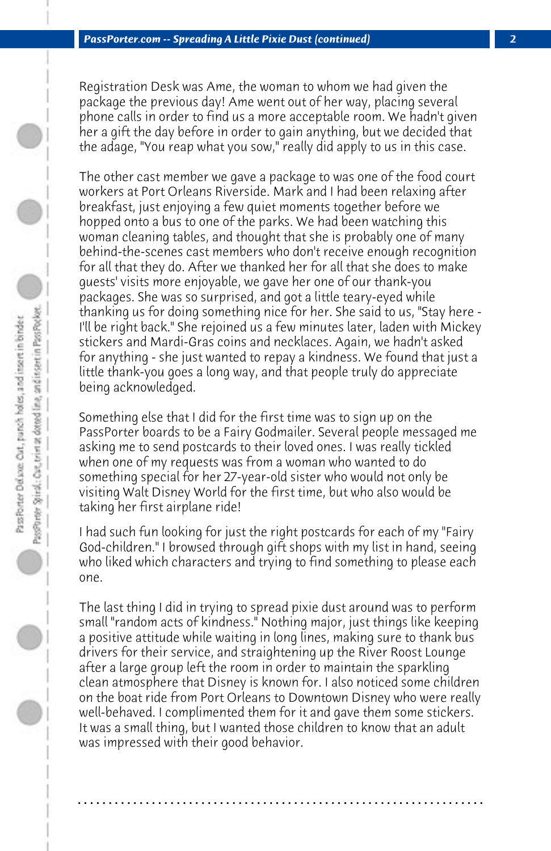Registration Desk was Ame, the woman to whom we had given the package the previous day! Ame went out of her way, placing several phone calls in order to find us a more acceptable room. We hadn't given her a gift the day before in order to gain anything, but we decided that the adage, "You reap what you sow," really did apply to us in this case.

The other cast member we gave a package to was one of the food court workers at Port Orleans Riverside. Mark and I had been relaxing after breakfast, just enjoying a few quiet moments together before we hopped onto a bus to one of the parks. We had been watching this woman cleaning tables, and thought that she is probably one of many behind-the-scenes cast members who don't receive enough recognition for all that they do. After we thanked her for all that she does to make guests' visits more enjoyable, we gave her one of our thank-you packages. She was so surprised, and got a little teary-eyed while thanking us for doing something nice for her. She said to us, "Stay here - I'll be right back." She rejoined us a few minutes later, laden with Mickey stickers and Mardi-Gras coins and necklaces. Again, we hadn't asked for anything - she just wanted to repay a kindness. We found that just a little thank-you goes a long way, and that people truly do appreciate being acknowledged.

Something else that I did for the first time was to sign up on the PassPorter boards to be a Fairy Godmailer. Several people messaged me asking me to send postcards to their loved ones. I was really tickled when one of my requests was from a woman who wanted to do something special for her 27-year-old sister who would not only be visiting Walt Disney World for the first time, but who also would be taking her first airplane ride!

I had such fun looking for just the right postcards for each of my "Fairy God-children." I browsed through gift shops with my list in hand, seeing who liked which characters and trying to find something to please each one.

The last thing I did in trying to spread pixie dust around was to perform small "random acts of kindness." Nothing major, just things like keeping a positive attitude while waiting in long lines, making sure to thank bus drivers for their service, and straightening up the River Roost Lounge after a large group left the room in order to maintain the sparkling clean atmosphere that Disney is known for. I also noticed some children on the boat ride from Port Orleans to Downtown Disney who were really well-behaved. I complimented them for it and gave them some stickers. It was a small thing, but I wanted those children to know that an adult was impressed with their good behavior.

**. . . . . . . . . . . . . . . . . . . . . . . . . . . . . . . . . . . . . . . . . . . . . . . . . . . . . . . . . . . . . . . . . .**